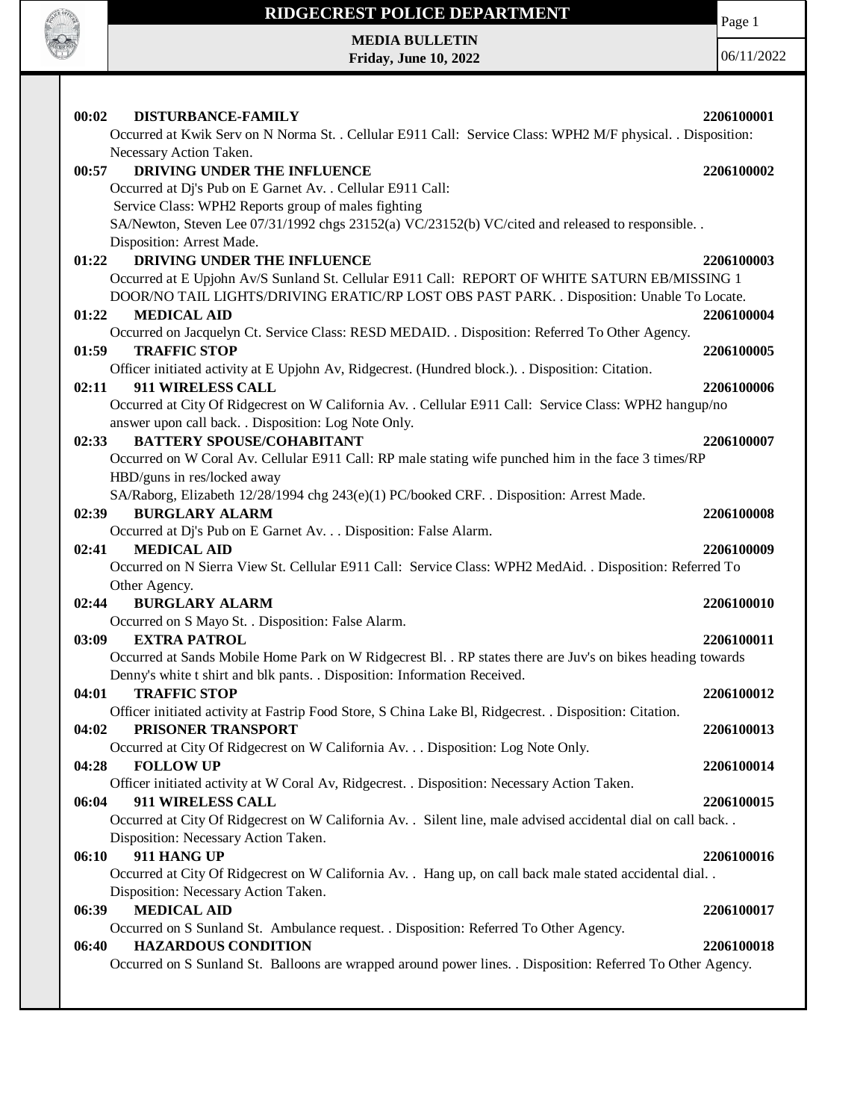

## **RIDGECREST POLICE DEPARTMENT MEDIA BULLETIN**

**Friday, June 10, 2022**

Page 1

| 00:02<br>DISTURBANCE-FAMILY<br>Occurred at Kwik Serv on N Norma St. . Cellular E911 Call: Service Class: WPH2 M/F physical. . Disposition: | 2206100001 |
|--------------------------------------------------------------------------------------------------------------------------------------------|------------|
| Necessary Action Taken.                                                                                                                    |            |
| DRIVING UNDER THE INFLUENCE<br>00:57                                                                                                       | 2206100002 |
| Occurred at Dj's Pub on E Garnet Av. . Cellular E911 Call:                                                                                 |            |
| Service Class: WPH2 Reports group of males fighting                                                                                        |            |
| SA/Newton, Steven Lee 07/31/1992 chgs 23152(a) VC/23152(b) VC/cited and released to responsible                                            |            |
| Disposition: Arrest Made.                                                                                                                  |            |
| DRIVING UNDER THE INFLUENCE<br>01:22                                                                                                       | 2206100003 |
| Occurred at E Upjohn Av/S Sunland St. Cellular E911 Call: REPORT OF WHITE SATURN EB/MISSING 1                                              |            |
| DOOR/NO TAIL LIGHTS/DRIVING ERATIC/RP LOST OBS PAST PARK. . Disposition: Unable To Locate.                                                 |            |
| 01:22<br><b>MEDICAL AID</b>                                                                                                                | 2206100004 |
| Occurred on Jacquelyn Ct. Service Class: RESD MEDAID. . Disposition: Referred To Other Agency.                                             |            |
| <b>TRAFFIC STOP</b><br>01:59                                                                                                               | 2206100005 |
| Officer initiated activity at E Upjohn Av, Ridgecrest. (Hundred block.). . Disposition: Citation.                                          |            |
| 02:11<br>911 WIRELESS CALL                                                                                                                 | 2206100006 |
| Occurred at City Of Ridgecrest on W California Av. . Cellular E911 Call: Service Class: WPH2 hangup/no                                     |            |
| answer upon call back. . Disposition: Log Note Only.                                                                                       |            |
| <b>BATTERY SPOUSE/COHABITANT</b><br>02:33                                                                                                  | 2206100007 |
| Occurred on W Coral Av. Cellular E911 Call: RP male stating wife punched him in the face 3 times/RP                                        |            |
| HBD/guns in res/locked away                                                                                                                |            |
| SA/Raborg, Elizabeth 12/28/1994 chg 243(e)(1) PC/booked CRF. . Disposition: Arrest Made.                                                   |            |
| <b>BURGLARY ALARM</b><br>02:39                                                                                                             | 2206100008 |
| Occurred at Dj's Pub on E Garnet Av. Disposition: False Alarm.                                                                             |            |
| <b>MEDICAL AID</b><br>02:41                                                                                                                | 2206100009 |
| Occurred on N Sierra View St. Cellular E911 Call: Service Class: WPH2 MedAid. . Disposition: Referred To                                   |            |
| Other Agency.                                                                                                                              |            |
| 02:44<br><b>BURGLARY ALARM</b>                                                                                                             | 2206100010 |
| Occurred on S Mayo St. . Disposition: False Alarm.                                                                                         |            |
| <b>EXTRA PATROL</b><br>03:09                                                                                                               | 2206100011 |
| Occurred at Sands Mobile Home Park on W Ridgecrest Bl. . RP states there are Juv's on bikes heading towards                                |            |
| Denny's white t shirt and blk pants. . Disposition: Information Received.                                                                  |            |
| <b>TRAFFIC STOP</b><br>04:01                                                                                                               | 2206100012 |
| Officer initiated activity at Fastrip Food Store, S China Lake Bl, Ridgecrest. . Disposition: Citation.                                    |            |
| PRISONER TRANSPORT<br>04:02                                                                                                                | 2206100013 |
| Occurred at City Of Ridgecrest on W California Av. Disposition: Log Note Only.                                                             |            |
| 04:28<br><b>FOLLOW UP</b>                                                                                                                  | 2206100014 |
| Officer initiated activity at W Coral Av, Ridgecrest. . Disposition: Necessary Action Taken.                                               |            |
| 06:04<br>911 WIRELESS CALL                                                                                                                 | 2206100015 |
| Occurred at City Of Ridgecrest on W California Av. . Silent line, male advised accidental dial on call back. .                             |            |
| Disposition: Necessary Action Taken.                                                                                                       |            |
| 911 HANG UP<br>06:10                                                                                                                       | 2206100016 |
| Occurred at City Of Ridgecrest on W California Av. . Hang up, on call back male stated accidental dial                                     |            |
| Disposition: Necessary Action Taken.                                                                                                       |            |
| <b>MEDICAL AID</b><br>06:39                                                                                                                | 2206100017 |
| Occurred on S Sunland St. Ambulance request. . Disposition: Referred To Other Agency.                                                      |            |
| <b>HAZARDOUS CONDITION</b><br>06:40                                                                                                        | 2206100018 |
| Occurred on S Sunland St. Balloons are wrapped around power lines. . Disposition: Referred To Other Agency.                                |            |
|                                                                                                                                            |            |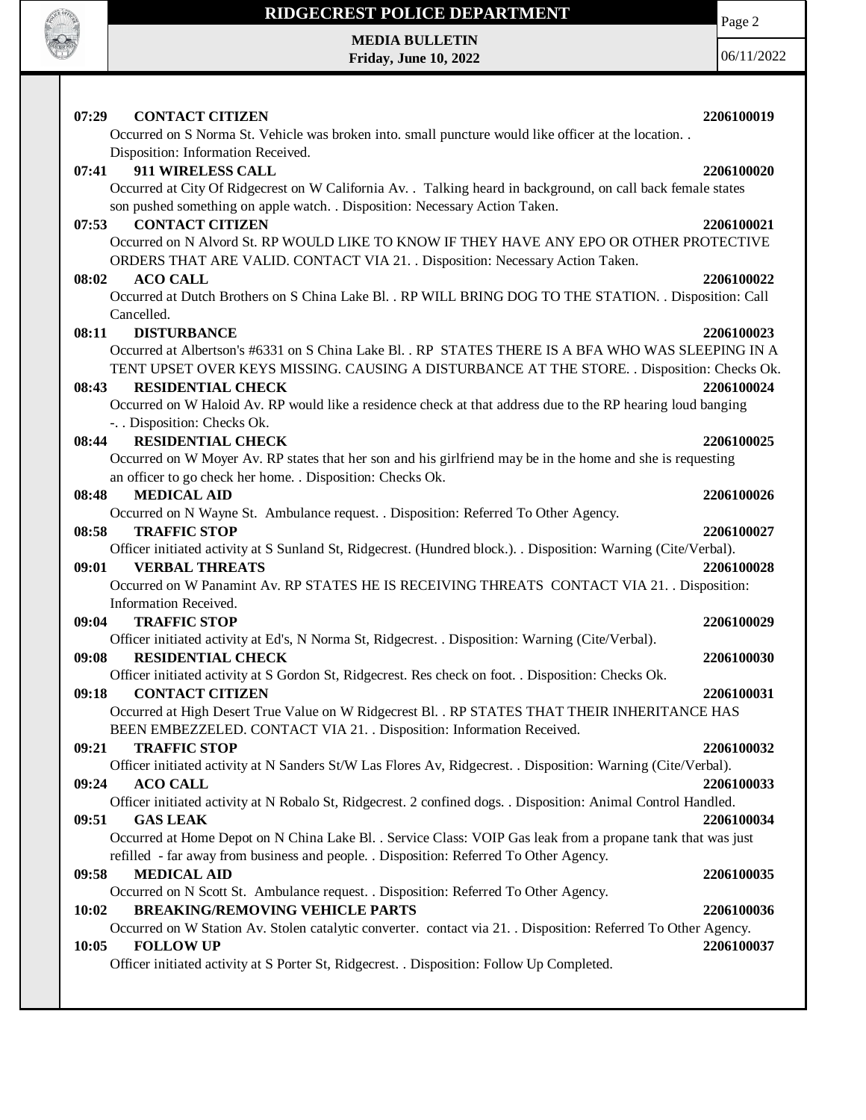

## **RIDGECREST POLICE DEPARTMENT**

**MEDIA BULLETIN Friday, June 10, 2022** Page 2

| 07:29<br><b>CONTACT CITIZEN</b>                                                                                                                                                             | 2206100019 |
|---------------------------------------------------------------------------------------------------------------------------------------------------------------------------------------------|------------|
| Occurred on S Norma St. Vehicle was broken into. small puncture would like officer at the location                                                                                          |            |
| Disposition: Information Received.                                                                                                                                                          |            |
| 911 WIRELESS CALL<br>07:41                                                                                                                                                                  | 2206100020 |
| Occurred at City Of Ridgecrest on W California Av. . Talking heard in background, on call back female states<br>son pushed something on apple watch. . Disposition: Necessary Action Taken. |            |
| 07:53<br><b>CONTACT CITIZEN</b>                                                                                                                                                             | 2206100021 |
| Occurred on N Alvord St. RP WOULD LIKE TO KNOW IF THEY HAVE ANY EPO OR OTHER PROTECTIVE<br>ORDERS THAT ARE VALID. CONTACT VIA 21. . Disposition: Necessary Action Taken.                    |            |
| <b>ACO CALL</b><br>08:02                                                                                                                                                                    | 2206100022 |
| Occurred at Dutch Brothers on S China Lake Bl. . RP WILL BRING DOG TO THE STATION. . Disposition: Call                                                                                      |            |
| Cancelled.                                                                                                                                                                                  |            |
| <b>DISTURBANCE</b><br>08:11                                                                                                                                                                 | 2206100023 |
| Occurred at Albertson's #6331 on S China Lake Bl. . RP STATES THERE IS A BFA WHO WAS SLEEPING IN A                                                                                          |            |
| TENT UPSET OVER KEYS MISSING. CAUSING A DISTURBANCE AT THE STORE. . Disposition: Checks Ok.                                                                                                 |            |
| <b>RESIDENTIAL CHECK</b><br>08:43                                                                                                                                                           | 2206100024 |
| Occurred on W Haloid Av. RP would like a residence check at that address due to the RP hearing loud banging                                                                                 |            |
| -. . Disposition: Checks Ok.                                                                                                                                                                |            |
| <b>RESIDENTIAL CHECK</b><br>08:44                                                                                                                                                           | 2206100025 |
| Occurred on W Moyer Av. RP states that her son and his girlfriend may be in the home and she is requesting                                                                                  |            |
| an officer to go check her home. . Disposition: Checks Ok.                                                                                                                                  |            |
| 08:48<br><b>MEDICAL AID</b>                                                                                                                                                                 | 2206100026 |
| Occurred on N Wayne St. Ambulance request. . Disposition: Referred To Other Agency.                                                                                                         |            |
| <b>TRAFFIC STOP</b><br>08:58                                                                                                                                                                | 2206100027 |
| Officer initiated activity at S Sunland St, Ridgecrest. (Hundred block.). . Disposition: Warning (Cite/Verbal).                                                                             |            |
| <b>VERBAL THREATS</b><br>09:01                                                                                                                                                              | 2206100028 |
| Occurred on W Panamint Av. RP STATES HE IS RECEIVING THREATS CONTACT VIA 21. Disposition:<br>Information Received.                                                                          |            |
| <b>TRAFFIC STOP</b><br>09:04                                                                                                                                                                | 2206100029 |
| Officer initiated activity at Ed's, N Norma St, Ridgecrest. . Disposition: Warning (Cite/Verbal).                                                                                           |            |
| <b>RESIDENTIAL CHECK</b><br>09:08                                                                                                                                                           | 2206100030 |
| Officer initiated activity at S Gordon St, Ridgecrest. Res check on foot. . Disposition: Checks Ok.                                                                                         |            |
| <b>CONTACT CITIZEN</b><br>09:18                                                                                                                                                             | 2206100031 |
| Occurred at High Desert True Value on W Ridgecrest Bl. . RP STATES THAT THEIR INHERITANCE HAS<br>BEEN EMBEZZELED. CONTACT VIA 21. . Disposition: Information Received.                      |            |
| 09:21<br><b>TRAFFIC STOP</b>                                                                                                                                                                | 2206100032 |
| Officer initiated activity at N Sanders St/W Las Flores Av, Ridgecrest. . Disposition: Warning (Cite/Verbal).<br><b>ACO CALL</b><br>09:24                                                   | 2206100033 |
| Officer initiated activity at N Robalo St, Ridgecrest. 2 confined dogs. . Disposition: Animal Control Handled.                                                                              |            |
| 09:51<br><b>GAS LEAK</b>                                                                                                                                                                    | 2206100034 |
| Occurred at Home Depot on N China Lake Bl. . Service Class: VOIP Gas leak from a propane tank that was just                                                                                 |            |
| refilled - far away from business and people. . Disposition: Referred To Other Agency.                                                                                                      |            |
| <b>MEDICAL AID</b><br>09:58                                                                                                                                                                 | 2206100035 |
| Occurred on N Scott St. Ambulance request. . Disposition: Referred To Other Agency.                                                                                                         |            |
| 10:02<br><b>BREAKING/REMOVING VEHICLE PARTS</b>                                                                                                                                             | 2206100036 |
| Occurred on W Station Av. Stolen catalytic converter. contact via 21. . Disposition: Referred To Other Agency.<br>10:05<br><b>FOLLOW UP</b>                                                 | 2206100037 |
| Officer initiated activity at S Porter St, Ridgecrest. . Disposition: Follow Up Completed.                                                                                                  |            |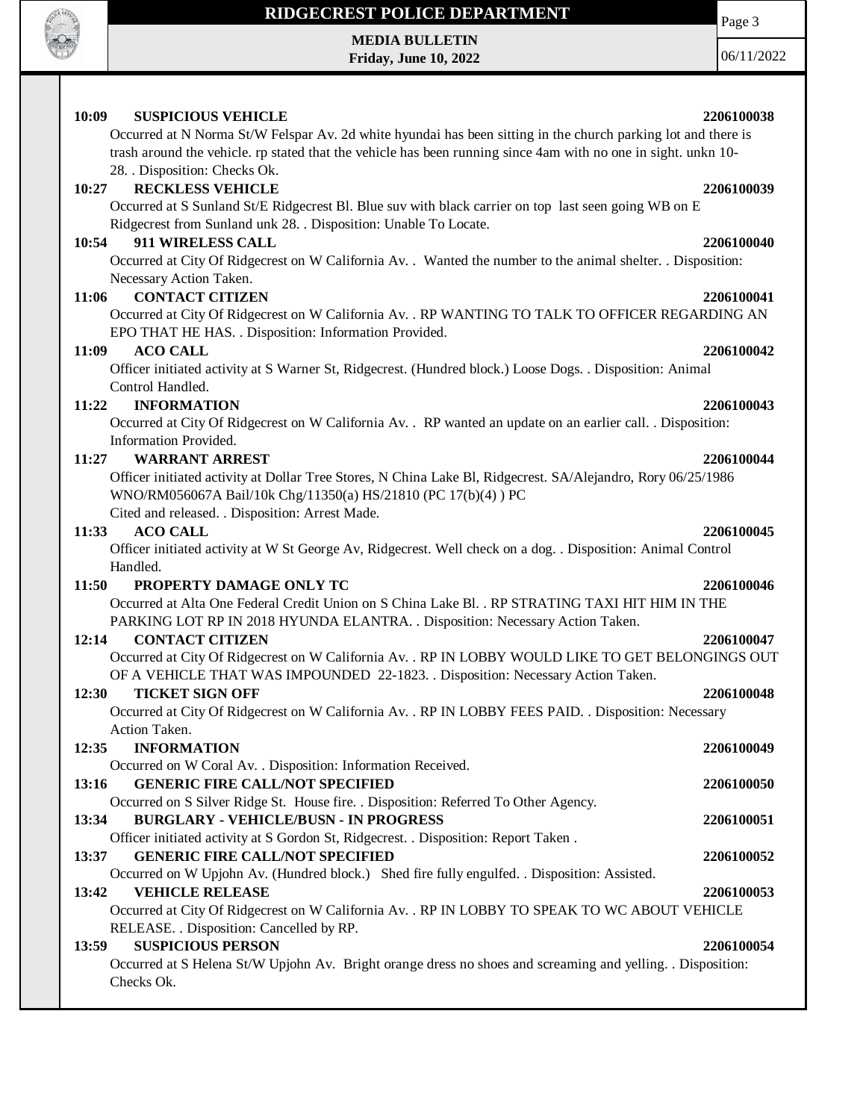

### **RIDGECREST POLICE DEPARTMENT**

**MEDIA BULLETIN Friday, June 10, 2022**

06/11/2022

Page 3

# Occurred at N Norma St/W Felspar Av. 2d white hyundai has been sitting in the church parking lot and there is trash around the vehicle. rp stated that the vehicle has been running since 4am with no one in sight. unkn 10- 28. . Disposition: Checks Ok. **10:27 RECKLESS VEHICLE 2206100039** Occurred at S Sunland St/E Ridgecrest Bl. Blue suv with black carrier on top last seen going WB on E Ridgecrest from Sunland unk 28. . Disposition: Unable To Locate. **10:54 911 WIRELESS CALL 2206100040** Occurred at City Of Ridgecrest on W California Av. . Wanted the number to the animal shelter. . Disposition: Necessary Action Taken. **11:06 CONTACT CITIZEN 2206100041** Occurred at City Of Ridgecrest on W California Av. . RP WANTING TO TALK TO OFFICER REGARDING AN EPO THAT HE HAS. . Disposition: Information Provided. **11:09 ACO CALL 2206100042** Officer initiated activity at S Warner St, Ridgecrest. (Hundred block.) Loose Dogs. . Disposition: Animal Control Handled. **11:22 INFORMATION 2206100043** Occurred at City Of Ridgecrest on W California Av. . RP wanted an update on an earlier call. . Disposition: Information Provided. **11:27 WARRANT ARREST 2206100044** Officer initiated activity at Dollar Tree Stores, N China Lake Bl, Ridgecrest. SA/Alejandro, Rory 06/25/1986 WNO/RM056067A Bail/10k Chg/11350(a) HS/21810 (PC 17(b)(4) ) PC **11:33 ACO CALL 2206100045 11:50 PROPERTY DAMAGE ONLY TC 2206100046 12:14 CONTACT CITIZEN 2206100047 12:30 TICKET SIGN OFF 2206100048 12:35 INFORMATION 2206100049 13:59 SUSPICIOUS PERSON 2206100054**

### **10:09 SUSPICIOUS VEHICLE 2206100038**

Cited and released. . Disposition: Arrest Made.

Officer initiated activity at W St George Av, Ridgecrest. Well check on a dog. . Disposition: Animal Control Handled.

Occurred at Alta One Federal Credit Union on S China Lake Bl. . RP STRATING TAXI HIT HIM IN THE PARKING LOT RP IN 2018 HYUNDA ELANTRA. . Disposition: Necessary Action Taken.

| 30 — TICKET SIGN OFF                                                                              | 2206100048 |
|---------------------------------------------------------------------------------------------------|------------|
| OF A VEHICLE THAT WAS IMPOUNDED 22-1823. . Disposition: Necessary Action Taken.                   |            |
| Occurred at City Of Ridgecrest on W California Av. . RP IN LOBBY WOULD LIKE TO GET BELONGINGS OUT |            |
|                                                                                                   |            |

Occurred at City Of Ridgecrest on W California Av. . RP IN LOBBY FEES PAID. . Disposition: Necessary Action Taken.

Occurred on W Coral Av. . Disposition: Information Received. **13:16 GENERIC FIRE CALL/NOT SPECIFIED 2206100050** Occurred on S Silver Ridge St. House fire. . Disposition: Referred To Other Agency. **13:34 BURGLARY - VEHICLE/BUSN - IN PROGRESS 2206100051** Officer initiated activity at S Gordon St, Ridgecrest. . Disposition: Report Taken . **13:37 GENERIC FIRE CALL/NOT SPECIFIED 2206100052** Occurred on W Upjohn Av. (Hundred block.) Shed fire fully engulfed. . Disposition: Assisted. **13:42 VEHICLE RELEASE 2206100053** Occurred at City Of Ridgecrest on W California Av. . RP IN LOBBY TO SPEAK TO WC ABOUT VEHICLE RELEASE. . Disposition: Cancelled by RP.

Occurred at S Helena St/W Upjohn Av. Bright orange dress no shoes and screaming and yelling. . Disposition: Checks Ok.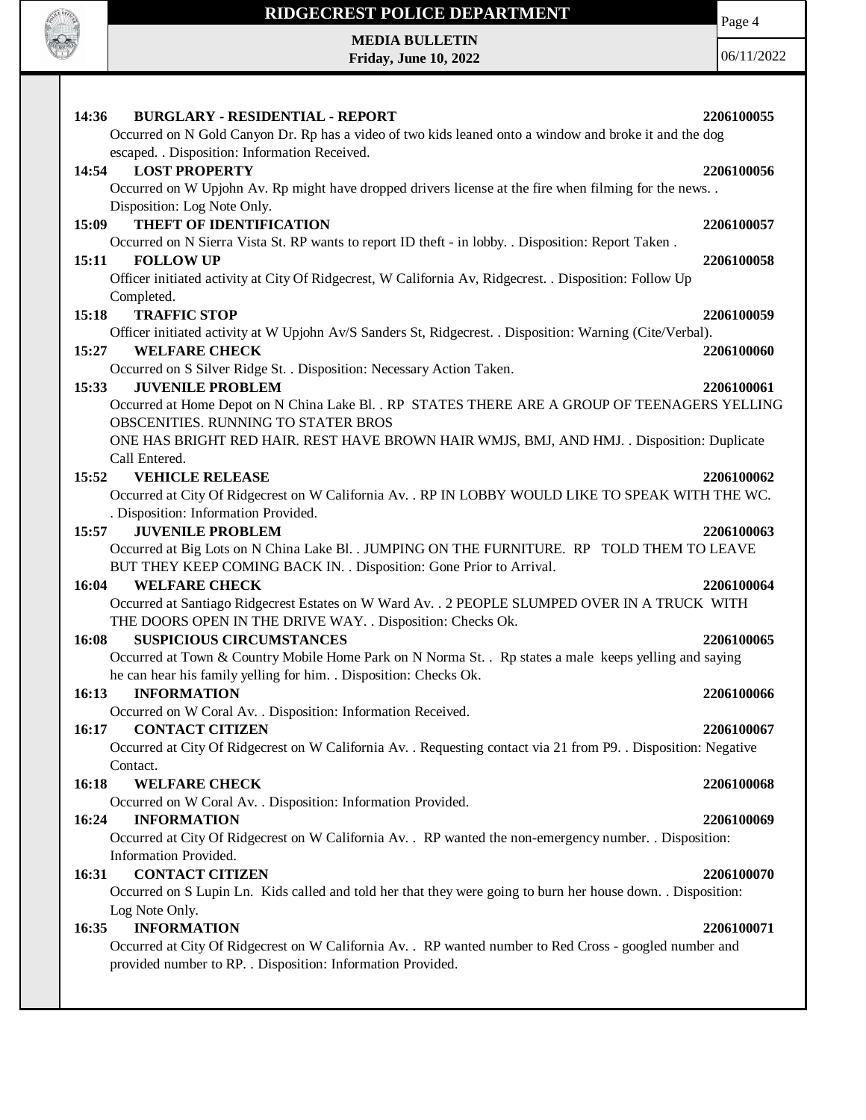

## **RIDGECREST POLICE DEPARTMENT**

**MEDIA BULLETIN Friday, June 10, 2022** Page 4

| 14:36<br><b>BURGLARY - RESIDENTIAL - REPORT</b>                                                                 | 2206100055 |
|-----------------------------------------------------------------------------------------------------------------|------------|
| Occurred on N Gold Canyon Dr. Rp has a video of two kids leaned onto a window and broke it and the dog          |            |
| escaped. . Disposition: Information Received.                                                                   |            |
| 14:54<br><b>LOST PROPERTY</b>                                                                                   | 2206100056 |
| Occurred on W Upjohn Av. Rp might have dropped drivers license at the fire when filming for the news            |            |
| Disposition: Log Note Only.                                                                                     |            |
| <b>THEFT OF IDENTIFICATION</b><br>15:09                                                                         | 2206100057 |
| Occurred on N Sierra Vista St. RP wants to report ID theft - in lobby. . Disposition: Report Taken.             |            |
| <b>FOLLOW UP</b><br>15:11                                                                                       | 2206100058 |
| Officer initiated activity at City Of Ridgecrest, W California Av, Ridgecrest. . Disposition: Follow Up         |            |
|                                                                                                                 |            |
| Completed.                                                                                                      |            |
| <b>TRAFFIC STOP</b><br>15:18                                                                                    | 2206100059 |
| Officer initiated activity at W Upjohn Av/S Sanders St, Ridgecrest. . Disposition: Warning (Cite/Verbal).       |            |
| 15:27<br><b>WELFARE CHECK</b>                                                                                   | 2206100060 |
| Occurred on S Silver Ridge St. . Disposition: Necessary Action Taken.                                           |            |
| <b>JUVENILE PROBLEM</b><br>15:33                                                                                | 2206100061 |
| Occurred at Home Depot on N China Lake Bl. . RP STATES THERE ARE A GROUP OF TEENAGERS YELLING                   |            |
| OBSCENITIES. RUNNING TO STATER BROS                                                                             |            |
| ONE HAS BRIGHT RED HAIR. REST HAVE BROWN HAIR WMJS, BMJ, AND HMJ. . Disposition: Duplicate                      |            |
| Call Entered.                                                                                                   |            |
| 15:52<br><b>VEHICLE RELEASE</b>                                                                                 | 2206100062 |
| Occurred at City Of Ridgecrest on W California Av. . RP IN LOBBY WOULD LIKE TO SPEAK WITH THE WC.               |            |
| . Disposition: Information Provided.                                                                            |            |
| <b>JUVENILE PROBLEM</b><br>15:57                                                                                | 2206100063 |
| Occurred at Big Lots on N China Lake Bl. . JUMPING ON THE FURNITURE. RP TOLD THEM TO LEAVE                      |            |
| BUT THEY KEEP COMING BACK IN. . Disposition: Gone Prior to Arrival.                                             |            |
| 16:04<br><b>WELFARE CHECK</b>                                                                                   | 2206100064 |
| Occurred at Santiago Ridgecrest Estates on W Ward Av. . 2 PEOPLE SLUMPED OVER IN A TRUCK WITH                   |            |
|                                                                                                                 |            |
| THE DOORS OPEN IN THE DRIVE WAY. . Disposition: Checks Ok.                                                      |            |
| <b>SUSPICIOUS CIRCUMSTANCES</b><br>16:08                                                                        | 2206100065 |
| Occurred at Town & Country Mobile Home Park on N Norma St. . Rp states a male keeps yelling and saying          |            |
| he can hear his family yelling for him. . Disposition: Checks Ok.                                               |            |
| <b>INFORMATION</b><br>16:13                                                                                     | 2206100066 |
| Occurred on W Coral Av. . Disposition: Information Received.                                                    |            |
| 16:17 CONTACT CITIZEN                                                                                           | 2206100067 |
| Occurred at City Of Ridgecrest on W California Av. . Requesting contact via 21 from P9. . Disposition: Negative |            |
| Contact.                                                                                                        |            |
| 16:18<br><b>WELFARE CHECK</b>                                                                                   | 2206100068 |
| Occurred on W Coral Av. . Disposition: Information Provided.                                                    |            |
| 16:24<br><b>INFORMATION</b>                                                                                     | 2206100069 |
| Occurred at City Of Ridgecrest on W California Av. . RP wanted the non-emergency number. . Disposition:         |            |
| Information Provided.                                                                                           |            |
| <b>CONTACT CITIZEN</b><br>16:31                                                                                 | 2206100070 |
| Occurred on S Lupin Ln. Kids called and told her that they were going to burn her house down. . Disposition:    |            |
| Log Note Only.                                                                                                  |            |
| <b>INFORMATION</b><br>16:35                                                                                     | 2206100071 |
| Occurred at City Of Ridgecrest on W California Av. . RP wanted number to Red Cross - googled number and         |            |
| provided number to RP. . Disposition: Information Provided.                                                     |            |
|                                                                                                                 |            |
|                                                                                                                 |            |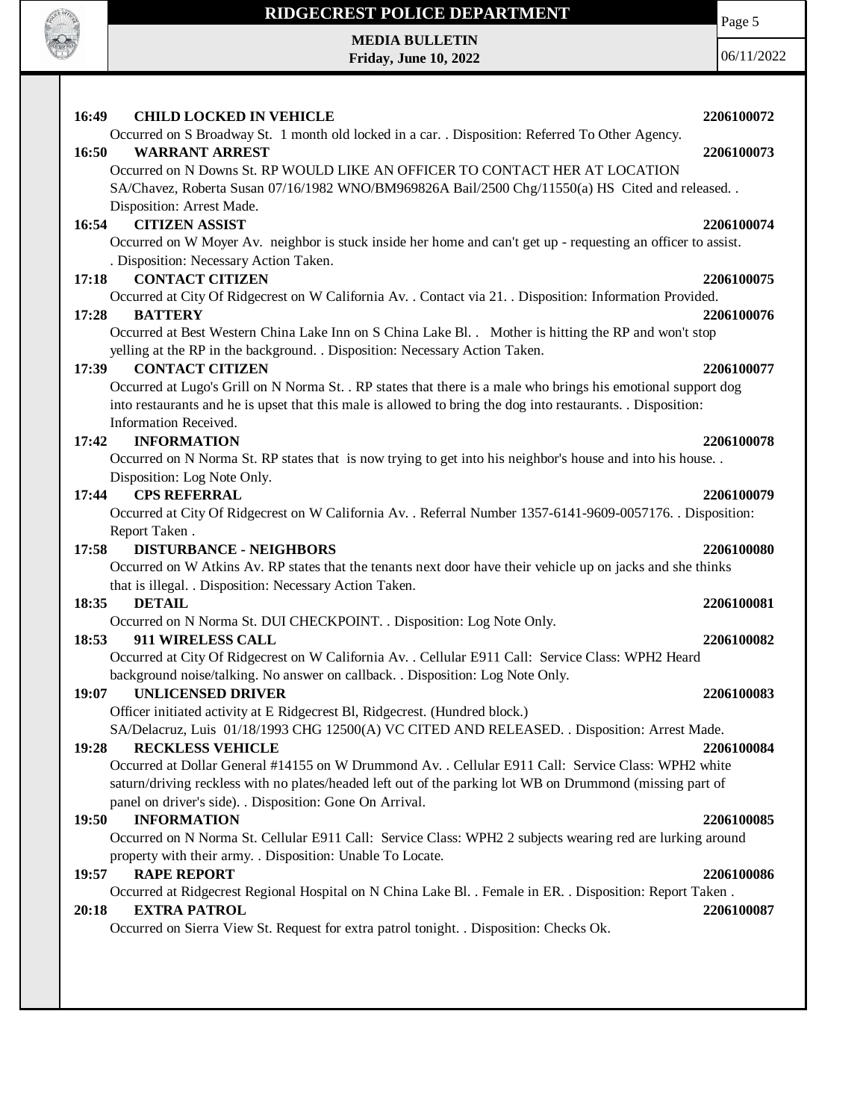

### **19:57 RAPE REPORT 2206100086**

Occurred at Ridgecrest Regional Hospital on N China Lake Bl. . Female in ER. . Disposition: Report Taken .

### **20:18 EXTRA PATROL 2206100087**

Occurred on Sierra View St. Request for extra patrol tonight. . Disposition: Checks Ok.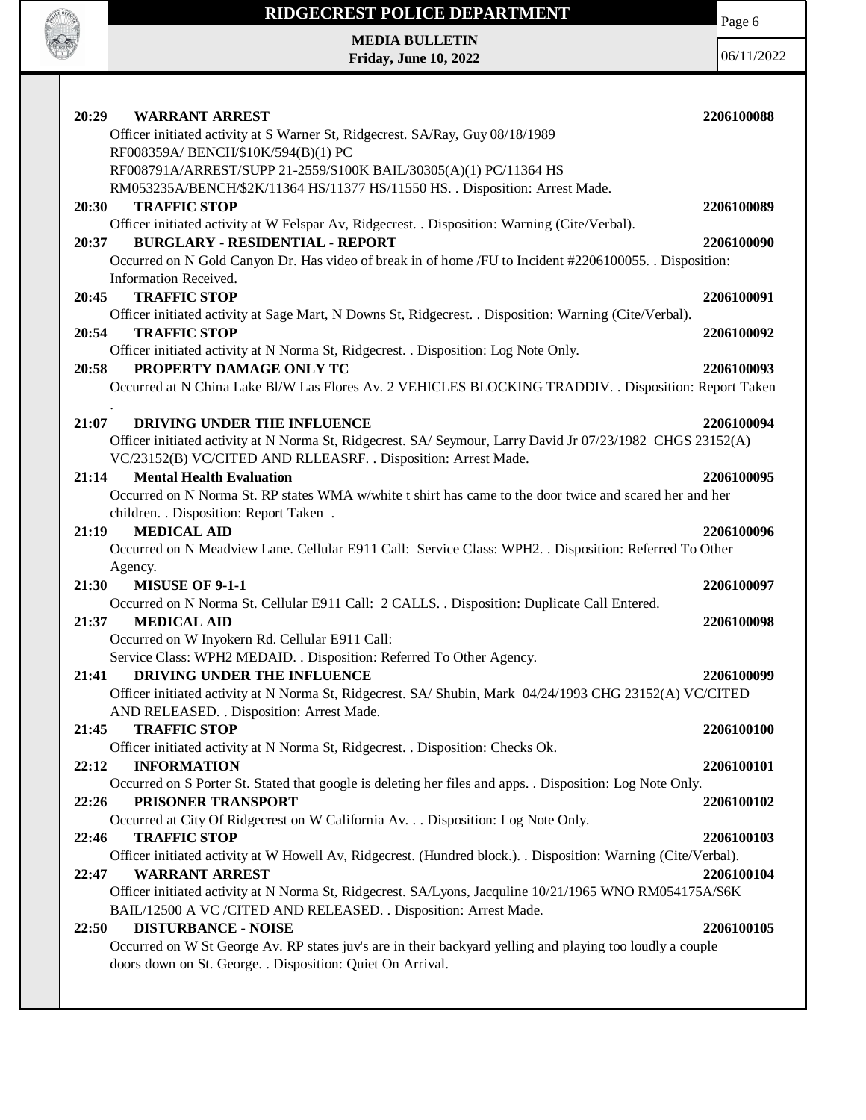

## **RIDGECREST POLICE DEPARTMENT MEDIA BULLETIN**

**Friday, June 10, 2022**

Page 6

| 20:29<br><b>WARRANT ARREST</b>                                                                                                                    | 2206100088 |
|---------------------------------------------------------------------------------------------------------------------------------------------------|------------|
| Officer initiated activity at S Warner St, Ridgecrest. SA/Ray, Guy 08/18/1989                                                                     |            |
| RF008359A/ BENCH/\$10K/594(B)(1) PC                                                                                                               |            |
| RF008791A/ARREST/SUPP 21-2559/\$100K BAIL/30305(A)(1) PC/11364 HS<br>RM053235A/BENCH/\$2K/11364 HS/11377 HS/11550 HS. . Disposition: Arrest Made. |            |
| <b>TRAFFIC STOP</b><br>20:30                                                                                                                      | 2206100089 |
| Officer initiated activity at W Felspar Av, Ridgecrest. . Disposition: Warning (Cite/Verbal).                                                     |            |
| <b>BURGLARY - RESIDENTIAL - REPORT</b><br>20:37                                                                                                   | 2206100090 |
| Occurred on N Gold Canyon Dr. Has video of break in of home /FU to Incident #2206100055. Disposition:                                             |            |
| Information Received.                                                                                                                             |            |
| <b>TRAFFIC STOP</b><br>20:45                                                                                                                      | 2206100091 |
| Officer initiated activity at Sage Mart, N Downs St, Ridgecrest. . Disposition: Warning (Cite/Verbal).                                            |            |
| 20:54<br><b>TRAFFIC STOP</b>                                                                                                                      | 2206100092 |
| Officer initiated activity at N Norma St, Ridgecrest. . Disposition: Log Note Only.<br>PROPERTY DAMAGE ONLY TC<br>20:58                           | 2206100093 |
| Occurred at N China Lake Bl/W Las Flores Av. 2 VEHICLES BLOCKING TRADDIV. . Disposition: Report Taken                                             |            |
|                                                                                                                                                   |            |
| 21:07<br>DRIVING UNDER THE INFLUENCE                                                                                                              | 2206100094 |
| Officer initiated activity at N Norma St, Ridgecrest. SA/ Seymour, Larry David Jr 07/23/1982 CHGS 23152(A)                                        |            |
| VC/23152(B) VC/CITED AND RLLEASRF. . Disposition: Arrest Made.                                                                                    |            |
| <b>Mental Health Evaluation</b><br>21:14                                                                                                          | 2206100095 |
| Occurred on N Norma St. RP states WMA w/white t shirt has came to the door twice and scared her and her                                           |            |
| children. . Disposition: Report Taken.                                                                                                            |            |
| <b>MEDICAL AID</b><br>21:19                                                                                                                       | 2206100096 |
| Occurred on N Meadview Lane. Cellular E911 Call: Service Class: WPH2. . Disposition: Referred To Other                                            |            |
| Agency.<br>21:30<br><b>MISUSE OF 9-1-1</b>                                                                                                        | 2206100097 |
| Occurred on N Norma St. Cellular E911 Call: 2 CALLS. . Disposition: Duplicate Call Entered.                                                       |            |
| 21:37<br><b>MEDICAL AID</b>                                                                                                                       | 2206100098 |
| Occurred on W Inyokern Rd. Cellular E911 Call:                                                                                                    |            |
| Service Class: WPH2 MEDAID. . Disposition: Referred To Other Agency.                                                                              |            |
| DRIVING UNDER THE INFLUENCE<br>21:41                                                                                                              | 2206100099 |
| Officer initiated activity at N Norma St, Ridgecrest. SA/ Shubin, Mark 04/24/1993 CHG 23152(A) VC/CITED                                           |            |
| AND RELEASED. . Disposition: Arrest Made.                                                                                                         |            |
| <b>TRAFFIC STOP</b><br>21:45                                                                                                                      | 2206100100 |
| Officer initiated activity at N Norma St, Ridgecrest. . Disposition: Checks Ok.                                                                   |            |
| 22:12<br><b>INFORMATION</b>                                                                                                                       | 2206100101 |
| Occurred on S Porter St. Stated that google is deleting her files and apps. . Disposition: Log Note Only.<br>22:26<br>PRISONER TRANSPORT          |            |
| Occurred at City Of Ridgecrest on W California Av. Disposition: Log Note Only.                                                                    | 2206100102 |
| <b>TRAFFIC STOP</b><br>22:46                                                                                                                      | 2206100103 |
| Officer initiated activity at W Howell Av, Ridgecrest. (Hundred block.). Disposition: Warning (Cite/Verbal).                                      |            |
| <b>WARRANT ARREST</b><br>22:47                                                                                                                    | 2206100104 |
| Officer initiated activity at N Norma St, Ridgecrest. SA/Lyons, Jacquline 10/21/1965 WNO RM054175A/\$6K                                           |            |
| BAIL/12500 A VC /CITED AND RELEASED. . Disposition: Arrest Made.                                                                                  |            |
| <b>DISTURBANCE - NOISE</b><br>22:50                                                                                                               | 2206100105 |
| Occurred on W St George Av. RP states juv's are in their backyard yelling and playing too loudly a couple                                         |            |
| doors down on St. George. . Disposition: Quiet On Arrival.                                                                                        |            |
|                                                                                                                                                   |            |